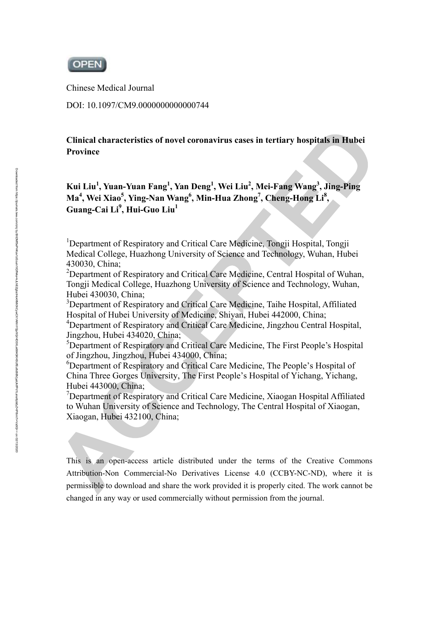

Chinese Medical Journal

DOI: 10.1097/CM9.0000000000000744

**Clinical characteristics of novel coronavirus cases in tertiary hospitals in Hubei Province** 

# **Kui Liu1 , Yuan-Yuan Fang<sup>1</sup> , Yan Deng<sup>1</sup> , Wei Liu2 , Mei-Fang Wang3 , Jing-Ping**  Ma<sup>4</sup>, Wei Xiao<sup>5</sup>, Ying-Nan Wang<sup>6</sup>, Min-Hua Zhong<sup>7</sup>, Cheng-Hong Li<sup>8</sup>, **Guang-Cai Li<sup>9</sup> , Hui-Guo Liu1**

<sup>1</sup>Department of Respiratory and Critical Care Medicine, Tongji Hospital, Tongji Medical College, Huazhong University of Science and Technology, Wuhan, Hubei 430030, China;

<sup>2</sup>Department of Respiratory and Critical Care Medicine, Central Hospital of Wuhan, Tongji Medical College, Huazhong University of Science and Technology, Wuhan, Hubei 430030, China;

<sup>3</sup>Department of Respiratory and Critical Care Medicine, Taihe Hospital, Affiliated Hospital of Hubei University of Medicine, Shiyan, Hubei 442000, China;

<sup>4</sup>Department of Respiratory and Critical Care Medicine, Jingzhou Central Hospital, Jingzhou, Hubei 434020, China;

5 Department of Respiratory and Critical Care Medicine, The First People's Hospital of Jingzhou, Jingzhou, Hubei 434000, China;

<sup>6</sup>Department of Respiratory and Critical Care Medicine, The People's Hospital of China Three Gorges University, The First People's Hospital of Yichang, Yichang, Hubei 443000, China;

<sup>7</sup>Department of Respiratory and Critical Care Medicine, Xiaogan Hospital Affiliated to Wuhan University of Science and Technology, The Central Hospital of Xiaogan, Xiaogan, Hubei 432100, China;

This is an open-access article distributed under the terms of the Creative Commons Attribution-Non Commercial-No Derivatives License 4.0 (CCBY-NC-ND), where it is permissible to download and share the work provided it is properly cited. The work cannot be changed in any way or used commercially without permission from the journal.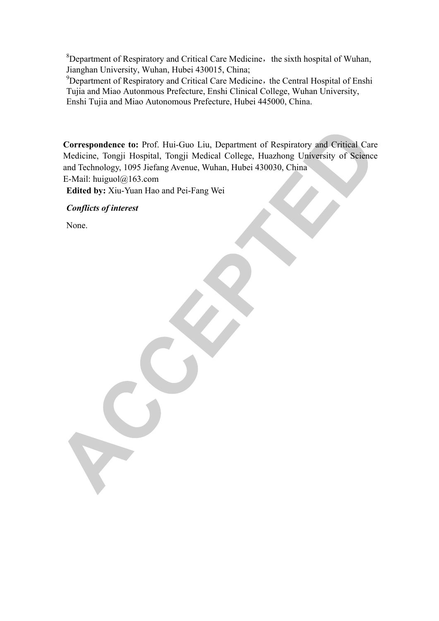<sup>8</sup>Department of Respiratory and Critical Care Medicine, the sixth hospital of Wuhan, Jianghan University, Wuhan, Hubei 430015, China;

<sup>9</sup>Department of Respiratory and Critical Care Medicine, the Central Hospital of Enshi Tujia and Miao Autonmous Prefecture, Enshi Clinical College, Wuhan University, Enshi Tujia and Miao Autonomous Prefecture, Hubei 445000, China.

**Correspondence to:** Prof. Hui-Guo Liu, Department of Respiratory and Critical Care Medicine, Tongji Hospital, Tongji Medical College, Huazhong University of Science and Technology, 1095 Jiefang Avenue, Wuhan, Hubei 430030, China E-Mail: huiguol@163.com

**Edited by:** Xiu-Yuan Hao and Pei-Fang Wei

*Conflicts of interest* 

None.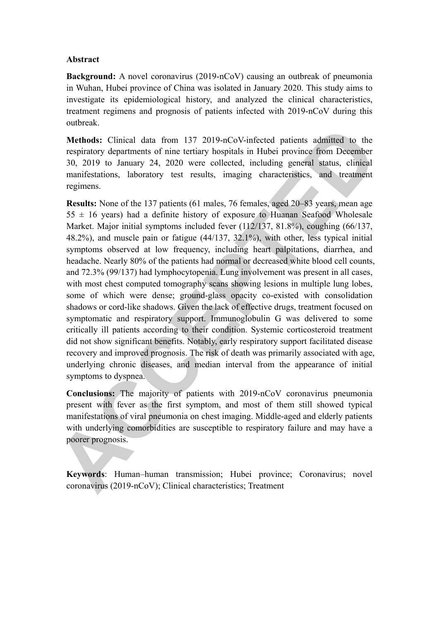#### **Abstract**

**Background:** A novel coronavirus (2019-nCoV) causing an outbreak of pneumonia in Wuhan, Hubei province of China was isolated in January 2020. This study aims to investigate its epidemiological history, and analyzed the clinical characteristics, treatment regimens and prognosis of patients infected with 2019-nCoV during this outbreak.

**Methods:** Clinical data from 137 2019-nCoV-infected patients admitted to the respiratory departments of nine tertiary hospitals in Hubei province from December 30, 2019 to January 24, 2020 were collected, including general status, clinical manifestations, laboratory test results, imaging characteristics, and treatment regimens.

**Results:** None of the 137 patients (61 males, 76 females, aged 20–83 years, mean age  $55 \pm 16$  years) had a definite history of exposure to Huanan Seafood Wholesale Market. Major initial symptoms included fever (112/137, 81.8%), coughing (66/137, 48.2%), and muscle pain or fatigue (44/137, 32.1%), with other, less typical initial symptoms observed at low frequency, including heart palpitations, diarrhea, and headache. Nearly 80% of the patients had normal or decreased white blood cell counts, and 72.3% (99/137) had lymphocytopenia. Lung involvement was present in all cases, with most chest computed tomography scans showing lesions in multiple lung lobes, some of which were dense; ground-glass opacity co-existed with consolidation shadows or cord-like shadows. Given the lack of effective drugs, treatment focused on symptomatic and respiratory support. Immunoglobulin G was delivered to some critically ill patients according to their condition. Systemic corticosteroid treatment did not show significant benefits. Notably, early respiratory support facilitated disease recovery and improved prognosis. The risk of death was primarily associated with age, underlying chronic diseases, and median interval from the appearance of initial symptoms to dyspnea.

**Conclusions:** The majority of patients with 2019-nCoV coronavirus pneumonia present with fever as the first symptom, and most of them still showed typical manifestations of viral pneumonia on chest imaging. Middle-aged and elderly patients with underlying comorbidities are susceptible to respiratory failure and may have a poorer prognosis.

**Keywords**: Human–human transmission; Hubei province; Coronavirus; novel coronavirus (2019-nCoV); Clinical characteristics; Treatment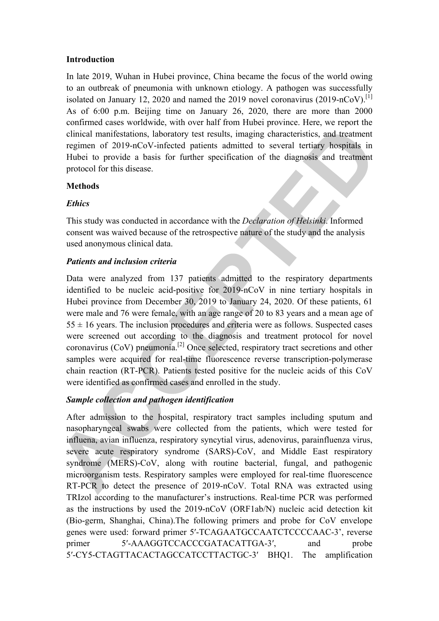### **Introduction**

In late 2019, Wuhan in Hubei province, China became the focus of the world owing to an outbreak of pneumonia with unknown etiology. A pathogen was successfully isolated on January 12, 2020 and named the 2019 novel coronavirus (2019-nCoV).<sup>[1]</sup> As of 6:00 p.m. Beijing time on January 26, 2020, there are more than 2000 confirmed cases worldwide, with over half from Hubei province. Here, we report the clinical manifestations, laboratory test results, imaging characteristics, and treatment regimen of 2019-nCoV-infected patients admitted to several tertiary hospitals in Hubei to provide a basis for further specification of the diagnosis and treatment protocol for this disease.

### **Methods**

## *Ethics*

This study was conducted in accordance with the *Declaration of Helsinki*. Informed consent was waived because of the retrospective nature of the study and the analysis used anonymous clinical data.

## *Patients and inclusion criteria*

Data were analyzed from 137 patients admitted to the respiratory departments identified to be nucleic acid-positive for 2019-nCoV in nine tertiary hospitals in Hubei province from December 30, 2019 to January 24, 2020. Of these patients, 61 were male and 76 were female, with an age range of 20 to 83 years and a mean age of  $55 \pm 16$  years. The inclusion procedures and criteria were as follows. Suspected cases were screened out according to the diagnosis and treatment protocol for novel coronavirus ( $CoV$ ) pneumonia.<sup>[2]</sup> Once selected, respiratory tract secretions and other samples were acquired for real-time fluorescence reverse transcription-polymerase chain reaction (RT-PCR). Patients tested positive for the nucleic acids of this CoV were identified as confirmed cases and enrolled in the study.

# *Sample collection and pathogen identification*

After admission to the hospital, respiratory tract samples including sputum and nasopharyngeal swabs were collected from the patients, which were tested for influena, avian influenza, respiratory syncytial virus, adenovirus, parainfluenza virus, severe acute respiratory syndrome (SARS)-CoV, and Middle East respiratory syndrome (MERS)-CoV, along with routine bacterial, fungal, and pathogenic microorganism tests. Respiratory samples were employed for real-time fluorescence RT-PCR to detect the presence of 2019-nCoV. Total RNA was extracted using TRIzol according to the manufacturer's instructions. Real-time PCR was performed as the instructions by used the 2019-nCoV (ORF1ab/N) nucleic acid detection kit (Bio-germ, Shanghai, China).The following primers and probe for CoV envelope genes were used: forward primer 5′-TCAGAATGCCAATCTCCCCAAC-3', reverse primer 5'-AAAGGTCCACCCGATACATTGA-3', and probe 5′-CY5-CTAGTTACACTAGCCATCCTTACTGC-3′ BHQ1. The amplification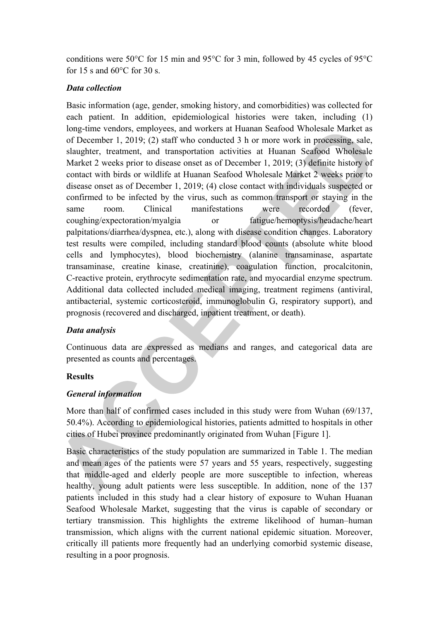conditions were 50°C for 15 min and 95°C for 3 min, followed by 45 cycles of 95°C for 15 s and  $60^{\circ}$ C for 30 s.

## *Data collection*

Basic information (age, gender, smoking history, and comorbidities) was collected for each patient. In addition, epidemiological histories were taken, including (1) long-time vendors, employees, and workers at Huanan Seafood Wholesale Market as of December 1, 2019; (2) staff who conducted 3 h or more work in processing, sale, slaughter, treatment, and transportation activities at Huanan Seafood Wholesale Market 2 weeks prior to disease onset as of December 1, 2019; (3) definite history of contact with birds or wildlife at Huanan Seafood Wholesale Market 2 weeks prior to disease onset as of December 1, 2019; (4) close contact with individuals suspected or confirmed to be infected by the virus, such as common transport or staying in the same room. Clinical manifestations were recorded (fever, coughing/expectoration/myalgia or fatigue/hemoptysis/headache/heart palpitations/diarrhea/dyspnea, etc.), along with disease condition changes. Laboratory test results were compiled, including standard blood counts (absolute white blood cells and lymphocytes), blood biochemistry (alanine transaminase, aspartate transaminase, creatine kinase, creatinine), coagulation function, procalcitonin, C-reactive protein, erythrocyte sedimentation rate, and myocardial enzyme spectrum. Additional data collected included medical imaging, treatment regimens (antiviral, antibacterial, systemic corticosteroid, immunoglobulin G, respiratory support), and prognosis (recovered and discharged, inpatient treatment, or death).

# *Data analysis*

Continuous data are expressed as medians and ranges, and categorical data are presented as counts and percentages.

### **Results**

### *General information*

More than half of confirmed cases included in this study were from Wuhan (69/137, 50.4%). According to epidemiological histories, patients admitted to hospitals in other cities of Hubei province predominantly originated from Wuhan [Figure 1].

Basic characteristics of the study population are summarized in Table 1. The median and mean ages of the patients were 57 years and 55 years, respectively, suggesting that middle-aged and elderly people are more susceptible to infection, whereas healthy, young adult patients were less susceptible. In addition, none of the 137 patients included in this study had a clear history of exposure to Wuhan Huanan Seafood Wholesale Market, suggesting that the virus is capable of secondary or tertiary transmission. This highlights the extreme likelihood of human–human transmission, which aligns with the current national epidemic situation. Moreover, critically ill patients more frequently had an underlying comorbid systemic disease, resulting in a poor prognosis.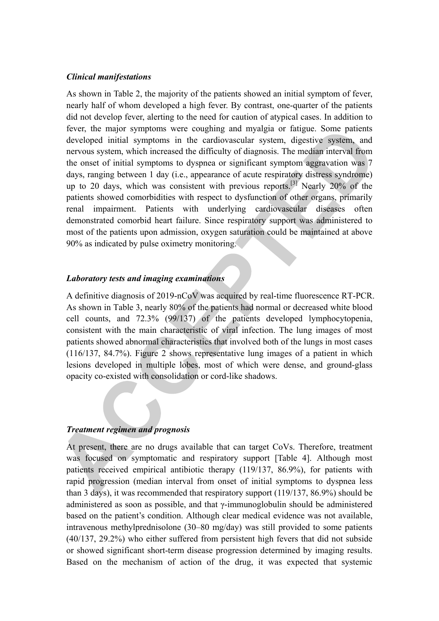#### *Clinical manifestations*

As shown in Table 2, the majority of the patients showed an initial symptom of fever, nearly half of whom developed a high fever. By contrast, one-quarter of the patients did not develop fever, alerting to the need for caution of atypical cases. In addition to fever, the major symptoms were coughing and myalgia or fatigue. Some patients developed initial symptoms in the cardiovascular system, digestive system, and nervous system, which increased the difficulty of diagnosis. The median interval from the onset of initial symptoms to dyspnea or significant symptom aggravation was 7 days, ranging between 1 day (i.e., appearance of acute respiratory distress syndrome) up to 20 days, which was consistent with previous reports.<sup>[3]</sup> Nearly 20% of the patients showed comorbidities with respect to dysfunction of other organs, primarily renal impairment. Patients with underlying cardiovascular diseases often demonstrated comorbid heart failure. Since respiratory support was administered to most of the patients upon admission, oxygen saturation could be maintained at above 90% as indicated by pulse oximetry monitoring.

#### *Laboratory tests and imaging examinations*

A definitive diagnosis of 2019-nCoV was acquired by real-time fluorescence RT-PCR. As shown in Table 3, nearly 80% of the patients had normal or decreased white blood cell counts, and 72.3% (99/137) of the patients developed lymphocytopenia, consistent with the main characteristic of viral infection. The lung images of most patients showed abnormal characteristics that involved both of the lungs in most cases (116/137, 84.7%). Figure 2 shows representative lung images of a patient in which lesions developed in multiple lobes, most of which were dense, and ground-glass opacity co-existed with consolidation or cord-like shadows.

#### *Treatment regimen and prognosis*

At present, there are no drugs available that can target CoVs. Therefore, treatment was focused on symptomatic and respiratory support [Table 4]. Although most patients received empirical antibiotic therapy (119/137, 86.9%), for patients with rapid progression (median interval from onset of initial symptoms to dyspnea less than 3 days), it was recommended that respiratory support (119/137, 86.9%) should be administered as soon as possible, and that γ-immunoglobulin should be administered based on the patient's condition. Although clear medical evidence was not available, intravenous methylprednisolone (30–80 mg/day) was still provided to some patients (40/137, 29.2%) who either suffered from persistent high fevers that did not subside or showed significant short-term disease progression determined by imaging results. Based on the mechanism of action of the drug, it was expected that systemic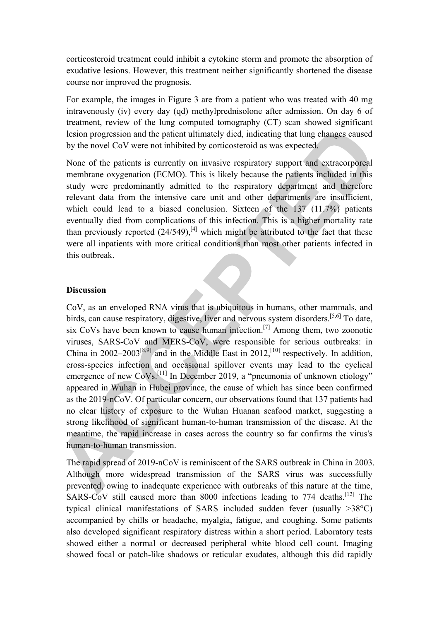corticosteroid treatment could inhibit a cytokine storm and promote the absorption of exudative lesions. However, this treatment neither significantly shortened the disease course nor improved the prognosis.

For example, the images in Figure 3 are from a patient who was treated with 40 mg intravenously (iv) every day (qd) methylprednisolone after admission. On day 6 of treatment, review of the lung computed tomography (CT) scan showed significant lesion progression and the patient ultimately died, indicating that lung changes caused by the novel CoV were not inhibited by corticosteroid as was expected.

None of the patients is currently on invasive respiratory support and extracorporeal membrane oxygenation (ECMO). This is likely because the patients included in this study were predominantly admitted to the respiratory department and therefore relevant data from the intensive care unit and other departments are insufficient, which could lead to a biased conclusion. Sixteen of the 137 (11.7%) patients eventually died from complications of this infection. This is a higher mortality rate than previously reported  $(24/549)$ ,<sup>[4]</sup> which might be attributed to the fact that these were all inpatients with more critical conditions than most other patients infected in this outbreak.

#### **Discussion**

CoV, as an enveloped RNA virus that is ubiquitous in humans, other mammals, and birds, can cause respiratory, digestive, liver and nervous system disorders.[5,6] To date, six CoVs have been known to cause human infection.[7] Among them, two zoonotic viruses, SARS-CoV and MERS-CoV, were responsible for serious outbreaks: in China in 2002–2003<sup>[8,9]</sup> and in the Middle East in 2012,<sup>[10]</sup> respectively. In addition, cross-species infection and occasional spillover events may lead to the cyclical emergence of new CoVs.<sup>[11]</sup> In December 2019, a "pneumonia of unknown etiology" appeared in Wuhan in Hubei province, the cause of which has since been confirmed as the 2019-nCoV. Of particular concern, our observations found that 137 patients had no clear history of exposure to the Wuhan Huanan seafood market, suggesting a strong likelihood of significant human-to-human transmission of the disease. At the meantime, the rapid increase in cases across the country so far confirms the virus's human-to-human transmission.

The rapid spread of 2019-nCoV is reminiscent of the SARS outbreak in China in 2003. Although more widespread transmission of the SARS virus was successfully prevented, owing to inadequate experience with outbreaks of this nature at the time, SARS-CoV still caused more than 8000 infections leading to 774 deaths.<sup>[12]</sup> The typical clinical manifestations of SARS included sudden fever (usually >38°C) accompanied by chills or headache, myalgia, fatigue, and coughing. Some patients also developed significant respiratory distress within a short period. Laboratory tests showed either a normal or decreased peripheral white blood cell count. Imaging showed focal or patch-like shadows or reticular exudates, although this did rapidly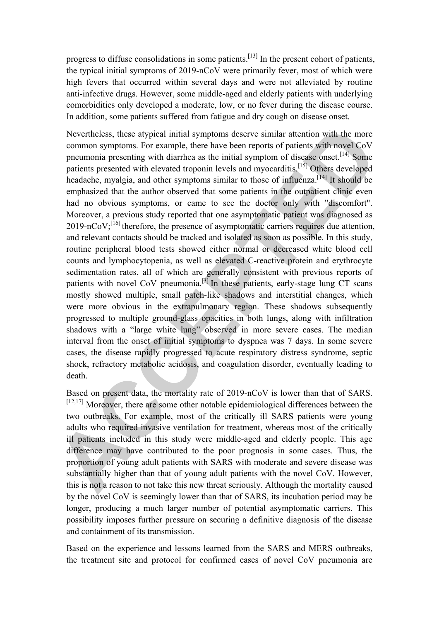progress to diffuse consolidations in some patients.[13] In the present cohort of patients, the typical initial symptoms of 2019-nCoV were primarily fever, most of which were high fevers that occurred within several days and were not alleviated by routine anti-infective drugs. However, some middle-aged and elderly patients with underlying comorbidities only developed a moderate, low, or no fever during the disease course. In addition, some patients suffered from fatigue and dry cough on disease onset.

Nevertheless, these atypical initial symptoms deserve similar attention with the more common symptoms. For example, there have been reports of patients with novel CoV pneumonia presenting with diarrhea as the initial symptom of disease onset.[14] Some patients presented with elevated troponin levels and myocarditis.[15] Others developed headache, myalgia, and other symptoms similar to those of influenza.<sup>[14]</sup> It should be emphasized that the author observed that some patients in the outpatient clinic even had no obvious symptoms, or came to see the doctor only with "discomfort". Moreover, a previous study reported that one asymptomatic patient was diagnosed as  $2019\text{-nCoV}$ ;  $^{[16]}$  therefore, the presence of asymptomatic carriers requires due attention, and relevant contacts should be tracked and isolated as soon as possible. In this study, routine peripheral blood tests showed either normal or decreased white blood cell counts and lymphocytopenia, as well as elevated C-reactive protein and erythrocyte sedimentation rates, all of which are generally consistent with previous reports of patients with novel CoV pneumonia.<sup>[3]</sup> In these patients, early-stage lung CT scans mostly showed multiple, small patch-like shadows and interstitial changes, which were more obvious in the extrapulmonary region. These shadows subsequently progressed to multiple ground-glass opacities in both lungs, along with infiltration shadows with a "large white lung" observed in more severe cases. The median interval from the onset of initial symptoms to dyspnea was 7 days. In some severe cases, the disease rapidly progressed to acute respiratory distress syndrome, septic shock, refractory metabolic acidosis, and coagulation disorder, eventually leading to death.

Based on present data, the mortality rate of 2019-nCoV is lower than that of SARS. [12,17] Moreover, there are some other notable epidemiological differences between the two outbreaks. For example, most of the critically ill SARS patients were young adults who required invasive ventilation for treatment, whereas most of the critically ill patients included in this study were middle-aged and elderly people. This age difference may have contributed to the poor prognosis in some cases. Thus, the proportion of young adult patients with SARS with moderate and severe disease was substantially higher than that of young adult patients with the novel CoV. However, this is not a reason to not take this new threat seriously. Although the mortality caused by the novel CoV is seemingly lower than that of SARS, its incubation period may be longer, producing a much larger number of potential asymptomatic carriers. This possibility imposes further pressure on securing a definitive diagnosis of the disease and containment of its transmission.

Based on the experience and lessons learned from the SARS and MERS outbreaks, the treatment site and protocol for confirmed cases of novel CoV pneumonia are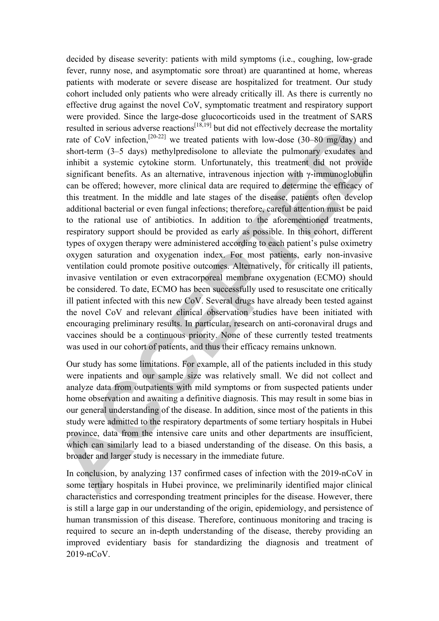decided by disease severity: patients with mild symptoms (i.e., coughing, low-grade fever, runny nose, and asymptomatic sore throat) are quarantined at home, whereas patients with moderate or severe disease are hospitalized for treatment. Our study cohort included only patients who were already critically ill. As there is currently no effective drug against the novel CoV, symptomatic treatment and respiratory support were provided. Since the large-dose glucocorticoids used in the treatment of SARS resulted in serious adverse reactions<sup> $[18,19]$ </sup> but did not effectively decrease the mortality rate of CoV infection,<sup>[20-22]</sup> we treated patients with low-dose (30–80 mg/day) and short-term (3–5 days) methylpredisolone to alleviate the pulmonary exudates and inhibit a systemic cytokine storm. Unfortunately, this treatment did not provide significant benefits. As an alternative, intravenous injection with γ-immunoglobulin can be offered; however, more clinical data are required to determine the efficacy of this treatment. In the middle and late stages of the disease, patients often develop additional bacterial or even fungal infections; therefore, careful attention must be paid to the rational use of antibiotics. In addition to the aforementioned treatments, respiratory support should be provided as early as possible. In this cohort, different types of oxygen therapy were administered according to each patient's pulse oximetry oxygen saturation and oxygenation index. For most patients, early non-invasive ventilation could promote positive outcomes. Alternatively, for critically ill patients, invasive ventilation or even extracorporeal membrane oxygenation (ECMO) should be considered. To date, ECMO has been successfully used to resuscitate one critically ill patient infected with this new CoV. Several drugs have already been tested against the novel CoV and relevant clinical observation studies have been initiated with encouraging preliminary results. In particular, research on anti-coronaviral drugs and vaccines should be a continuous priority. None of these currently tested treatments was used in our cohort of patients, and thus their efficacy remains unknown.

Our study has some limitations. For example, all of the patients included in this study were inpatients and our sample size was relatively small. We did not collect and analyze data from outpatients with mild symptoms or from suspected patients under home observation and awaiting a definitive diagnosis. This may result in some bias in our general understanding of the disease. In addition, since most of the patients in this study were admitted to the respiratory departments of some tertiary hospitals in Hubei province, data from the intensive care units and other departments are insufficient, which can similarly lead to a biased understanding of the disease. On this basis, a broader and larger study is necessary in the immediate future.

In conclusion, by analyzing 137 confirmed cases of infection with the 2019-nCoV in some tertiary hospitals in Hubei province, we preliminarily identified major clinical characteristics and corresponding treatment principles for the disease. However, there is still a large gap in our understanding of the origin, epidemiology, and persistence of human transmission of this disease. Therefore, continuous monitoring and tracing is required to secure an in-depth understanding of the disease, thereby providing an improved evidentiary basis for standardizing the diagnosis and treatment of  $2019 - nCoV$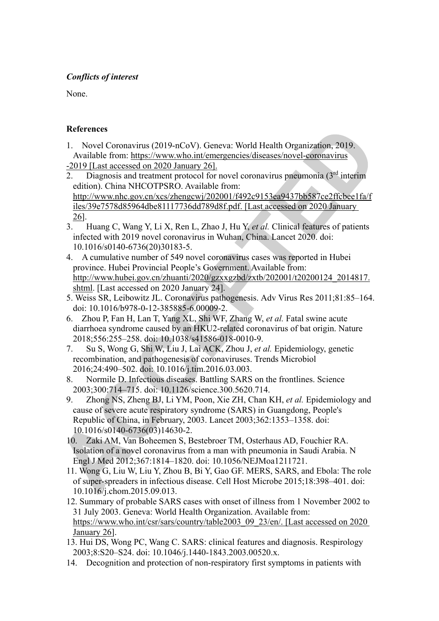# *Conflicts of interest*

None.

# **References**

- 1. Novel Coronavirus (2019-nCoV). Geneva: World Health Organization, 2019. Available from: https://www.who.int/emergencies/diseases/novel-coronavirus
- -2019 [Last accessed on 2020 January 26].
- 2. Diagnosis and treatment protocol for novel coronavirus pneumonia  $(3<sup>rd</sup>$  interim edition). China NHCOTPSRO. Available from: http://www.nhc.gov.cn/xcs/zhengcwj/202001/f492c9153ea9437bb587ce2ffcbee1fa/f iles/39e7578d85964dbe81117736dd789d8f.pdf. [Last accessed on 2020 January 26].
- 3. Huang C, Wang Y, Li X, Ren L, Zhao J, Hu Y, *et al.* Clinical features of patients infected with 2019 novel coronavirus in Wuhan, China. Lancet 2020. doi: 10.1016/s0140-6736(20)30183-5.
- 4. A cumulative number of 549 novel coronavirus cases was reported in Hubei province. Hubei Provincial People's Government. Available from: http://www.hubei.gov.cn/zhuanti/2020/gzxxgzbd/zxtb/202001/t20200124\_2014817. shtml. [Last accessed on 2020 January 24].
- 5. Weiss SR, Leibowitz JL. Coronavirus pathogenesis. Adv Virus Res 2011;81:85–164. doi: 10.1016/b978-0-12-385885-6.00009-2.
- 6. Zhou P, Fan H, Lan T, Yang XL, Shi WF, Zhang W, *et al.* Fatal swine acute diarrhoea syndrome caused by an HKU2-related coronavirus of bat origin. Nature 2018;556:255–258. doi: 10.1038/s41586-018-0010-9.
- 7. Su S, Wong G, Shi W, Liu J, Lai ACK, Zhou J, *et al.* Epidemiology, genetic recombination, and pathogenesis of coronaviruses. Trends Microbiol 2016;24:490–502. doi: 10.1016/j.tim.2016.03.003.
- 8. Normile D. Infectious diseases. Battling SARS on the frontlines. Science 2003;300:714–715. doi: 10.1126/science.300.5620.714.
- 9. Zhong NS, Zheng BJ, Li YM, Poon, Xie ZH, Chan KH, *et al.* Epidemiology and cause of severe acute respiratory syndrome (SARS) in Guangdong, People's Republic of China, in February, 2003. Lancet 2003;362:1353–1358. doi: 10.1016/s0140-6736(03)14630-2.
- 10. Zaki AM, Van Boheemen S, Bestebroer TM, Osterhaus AD, Fouchier RA. Isolation of a novel coronavirus from a man with pneumonia in Saudi Arabia. N Engl J Med 2012;367:1814–1820. doi: 10.1056/NEJMoa1211721.
- 11. Wong G, Liu W, Liu Y, Zhou B, Bi Y, Gao GF. MERS, SARS, and Ebola: The role of super-spreaders in infectious disease. Cell Host Microbe 2015;18:398–401. doi: 10.1016/j.chom.2015.09.013.
- 12. Summary of probable SARS cases with onset of illness from 1 November 2002 to 31 July 2003. Geneva: World Health Organization. Available from: https://www.who.int/csr/sars/country/table2003\_09\_23/en/. [Last accessed on 2020 January 26].
- 13. Hui DS, Wong PC, Wang C. SARS: clinical features and diagnosis. Respirology 2003;8:S20–S24. doi: 10.1046/j.1440-1843.2003.00520.x.
- 14. Decognition and protection of non-respiratory first symptoms in patients with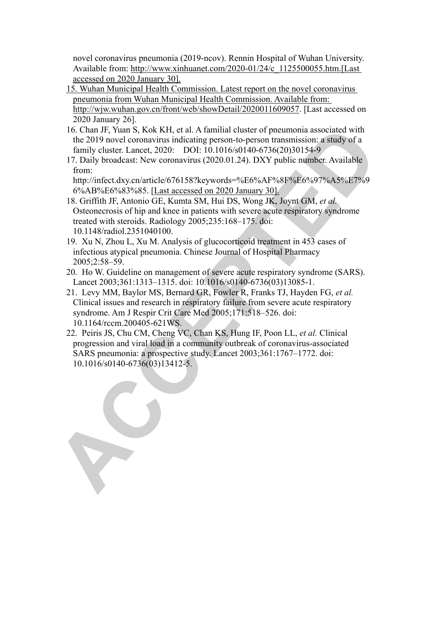novel coronavirus pneumonia (2019-ncov). Rennin Hospital of Wuhan University. Available from: http://www.xinhuanet.com/2020-01/24/c\_1125500055.htm.[Last accessed on 2020 January 30].

- 15. Wuhan Municipal Health Commission. Latest report on the novel coronavirus pneumonia from Wuhan Municipal Health Commission. Available from: http://wjw.wuhan.gov.cn/front/web/showDetail/2020011609057. [Last accessed on 2020 January 26].
- 16. Chan JF, Yuan S, Kok KH, et al. A familial cluster of pneumonia associated with the 2019 novel coronavirus indicating person-to-person transmission: a study of a family cluster. Lancet, 2020: DOI: 10.1016/s0140-6736(20)30154-9
- 17. Daily broadcast: New coronavirus (2020.01.24). DXY public number. Available from:

http://infect.dxy.cn/article/676158?keywords=%E6%AF%8F%E6%97%A5%E7%9 6%AB%E6%83%85. [Last accessed on 2020 January 30].

- 18. Griffith JF, Antonio GE, Kumta SM, Hui DS, Wong JK, Joynt GM, *et al.*  Osteonecrosis of hip and knee in patients with severe acute respiratory syndrome treated with steroids. Radiology 2005;235:168–175. doi: 10.1148/radiol.2351040100.
- 19. Xu N, Zhou L, Xu M. Analysis of glucocorticoid treatment in 453 cases of infectious atypical pneumonia. Chinese Journal of Hospital Pharmacy 2005;2:58–59.
- 20. Ho W. Guideline on management of severe acute respiratory syndrome (SARS). Lancet 2003;361:1313–1315. doi: 10.1016/s0140-6736(03)13085-1.
- 21. Levy MM, Baylor MS, Bernard GR, Fowler R, Franks TJ, Hayden FG, *et al.*  Clinical issues and research in respiratory failure from severe acute respiratory syndrome. Am J Respir Crit Care Med 2005;171:518–526. doi: 10.1164/rccm.200405-621WS.
- 22. Peiris JS, Chu CM, Cheng VC, Chan KS, Hung IF, Poon LL, *et al.* Clinical progression and viral load in a community outbreak of coronavirus-associated SARS pneumonia: a prospective study. Lancet 2003;361:1767–1772. doi: 10.1016/s0140-6736(03)13412-5.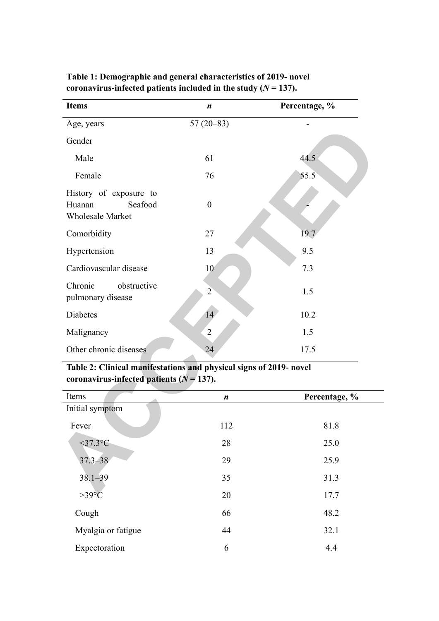| <b>Items</b>                                                           | $\boldsymbol{n}$ | Percentage, % |
|------------------------------------------------------------------------|------------------|---------------|
| Age, years                                                             | $57(20-83)$      |               |
| Gender                                                                 |                  |               |
| Male                                                                   | 61               | 44.5          |
| Female                                                                 | 76               | 55.5          |
| History of exposure to<br>Huanan<br>Seafood<br><b>Wholesale Market</b> | $\boldsymbol{0}$ |               |
| Comorbidity                                                            | 27               | 19.7          |
| Hypertension                                                           | 13               | 9.5           |
| Cardiovascular disease                                                 | 10               | 7.3           |
| Chronic<br>obstructive<br>pulmonary disease                            | $\overline{2}$   | 1.5           |
| Diabetes                                                               | 14               | 10.2          |
| Malignancy                                                             | $\overline{2}$   | 1.5           |
| Other chronic diseases                                                 | 24               | 17.5          |

**Table 1: Demographic and general characteristics of 2019- novel**  coronavirus-infected patients included in the study  $(N = 137)$ .

# **Table 2: Clinical manifestations and physical signs of 2019- novel**  coronavirus-infected patients  $(N = 137)$ .

| Items                 | $\boldsymbol{n}$ | Percentage, % |
|-----------------------|------------------|---------------|
| Initial symptom       |                  |               |
| Fever                 | 112              | 81.8          |
| $<$ 37.3 $^{\circ}$ C | 28               | 25.0          |
| $37.3 - 38$           | 29               | 25.9          |
| $38.1 - 39$           | 35               | 31.3          |
| $>39^{\circ}$ C       | 20               | 17.7          |
| Cough                 | 66               | 48.2          |
| Myalgia or fatigue    | 44               | 32.1          |
| Expectoration         | 6                | 4.4           |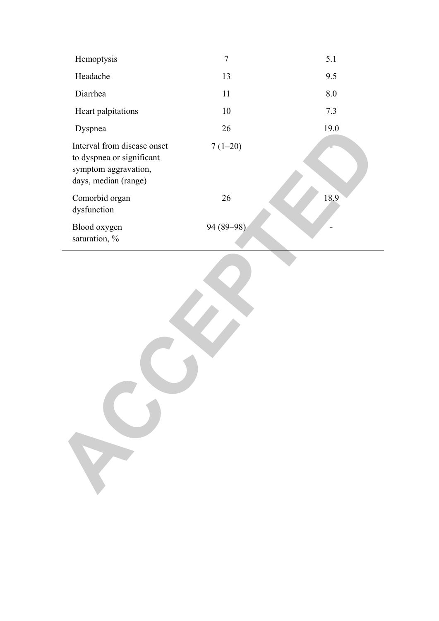| Hemoptysis                                                                                               | 7          | 5.1  |
|----------------------------------------------------------------------------------------------------------|------------|------|
| Headache                                                                                                 | 13         | 9.5  |
| Diarrhea                                                                                                 | 11         | 8.0  |
| Heart palpitations                                                                                       | 10         | 7.3  |
| Dyspnea                                                                                                  | 26         | 19.0 |
| Interval from disease onset<br>to dyspnea or significant<br>symptom aggravation,<br>days, median (range) | $7(1-20)$  |      |
| Comorbid organ<br>dysfunction                                                                            | 26         | 18.9 |
| Blood oxygen<br>saturation, %                                                                            | 94 (89-98) |      |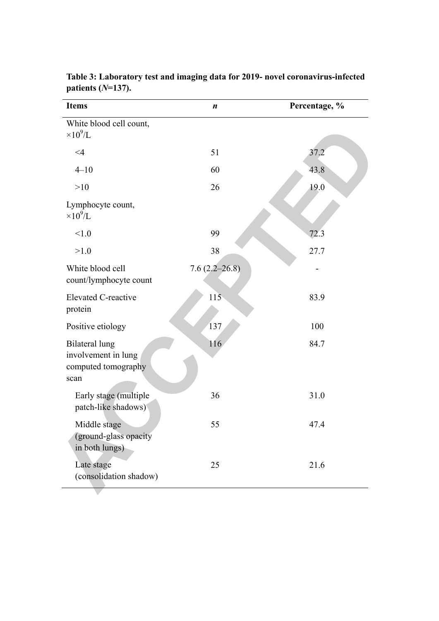| <b>Items</b>                                                                | $\boldsymbol{n}$  | Percentage, % |
|-----------------------------------------------------------------------------|-------------------|---------------|
| White blood cell count,<br>$\times 10^9$ /L                                 |                   |               |
| $\leq 4$                                                                    | 51                | 37.2          |
| $4 - 10$                                                                    | 60                | 43.8          |
| >10                                                                         | 26                | 19.0          |
| Lymphocyte count,<br>$\times 10^9$ /L                                       |                   |               |
| < 1.0                                                                       | 99                | 72.3          |
| >1.0                                                                        | 38                | 27.7          |
| White blood cell<br>count/lymphocyte count                                  | $7.6(2.2 - 26.8)$ |               |
| <b>Elevated C-reactive</b><br>protein                                       | 115               | 83.9          |
| Positive etiology                                                           | 137               | 100           |
| <b>Bilateral lung</b><br>involvement in lung<br>computed tomography<br>scan | 116               | 84.7          |
| Early stage (multiple<br>patch-like shadows)                                | 36                | 31.0          |
| Middle stage<br>(ground-glass opacity<br>in both lungs)                     | 55                | 47.4          |
| Late stage<br>(consolidation shadow)                                        | 25                | 21.6          |

**Table 3: Laboratory test and imaging data for 2019- novel coronavirus-infected patients (***N***=137).**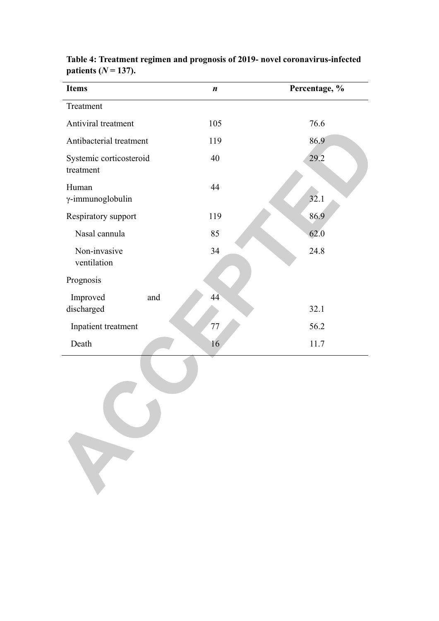| <b>Items</b>                         | $\boldsymbol{n}$ | Percentage, % |
|--------------------------------------|------------------|---------------|
| Treatment                            |                  |               |
| Antiviral treatment                  | 105              | 76.6          |
| Antibacterial treatment              | 119              | 86.9          |
| Systemic corticosteroid<br>treatment | 40               | 29.2          |
| Human<br>$\gamma$ -immunoglobulin    | 44               | 32.1          |
| Respiratory support                  | 119              | 86.9          |
| Nasal cannula                        | 85               | 62.0          |
| Non-invasive<br>ventilation          | 34               | 24.8          |
| Prognosis                            |                  |               |
| Improved<br>and<br>discharged        | 44               | 32.1          |
| Inpatient treatment                  | 77               | 56.2          |
| Death                                | 16               | 11.7          |

**Table 4: Treatment regimen and prognosis of 2019- novel coronavirus-infected**  patients  $(N = 137)$ .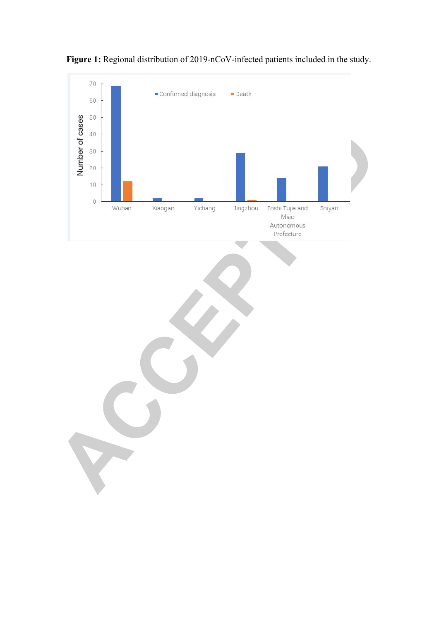

Figure 1: Regional distribution of 2019-nCoV-infected patients included in the study.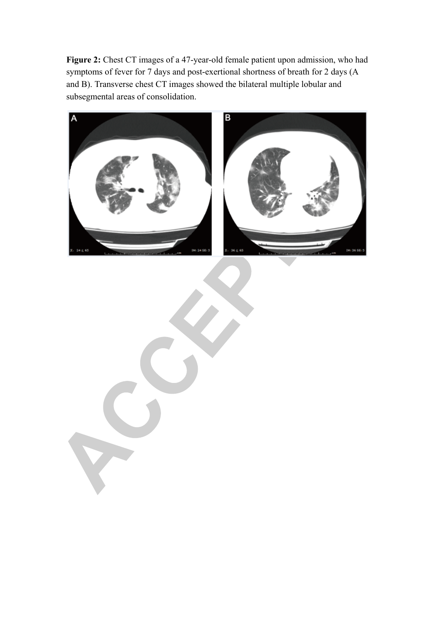Figure 2: Chest CT images of a 47-year-old female patient upon admission, who had symptoms of fever for 7 days and post-exertional shortness of breath for 2 days (A and B). Transverse chest CT images showed the bilateral multiple lobular and subsegmental areas of consolidation.